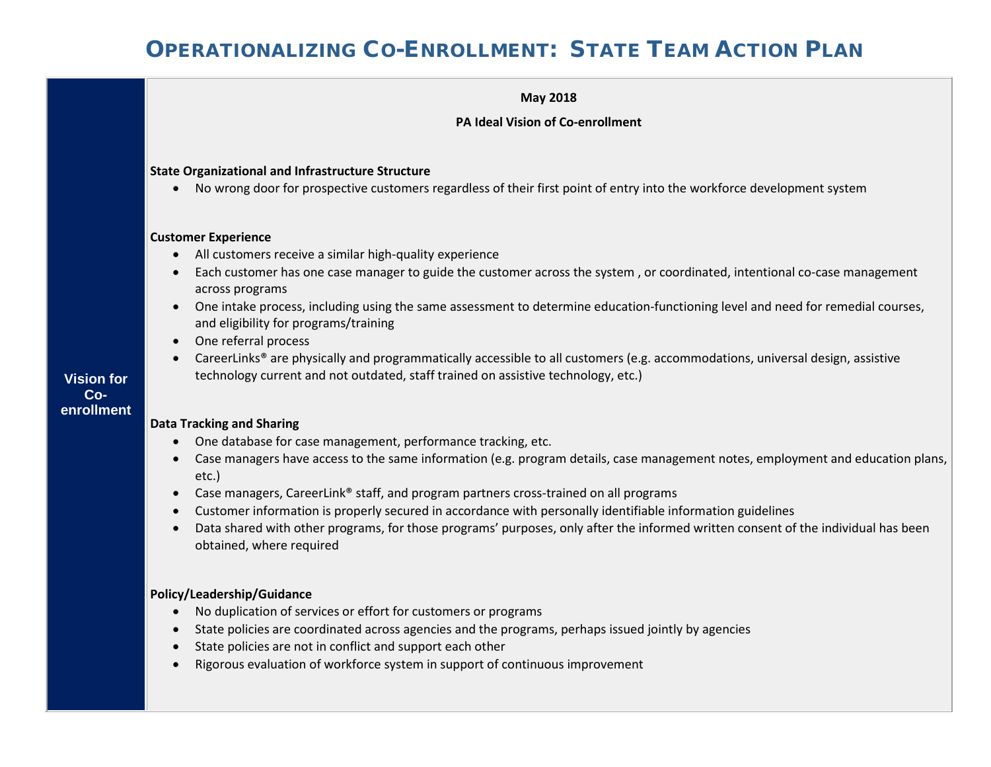

• Data shared with other programs, for those programs' purposes, only after the informed written consent of the individual has been obtained, where required

#### **Policy/Leadership/Guidance**

- No duplication of services or effort for customers or programs
- State policies are coordinated across agencies and the programs, perhaps issued jointly by agencies
- State policies are not in conflict and support each other
- Rigorous evaluation of workforce system in support of continuous improvement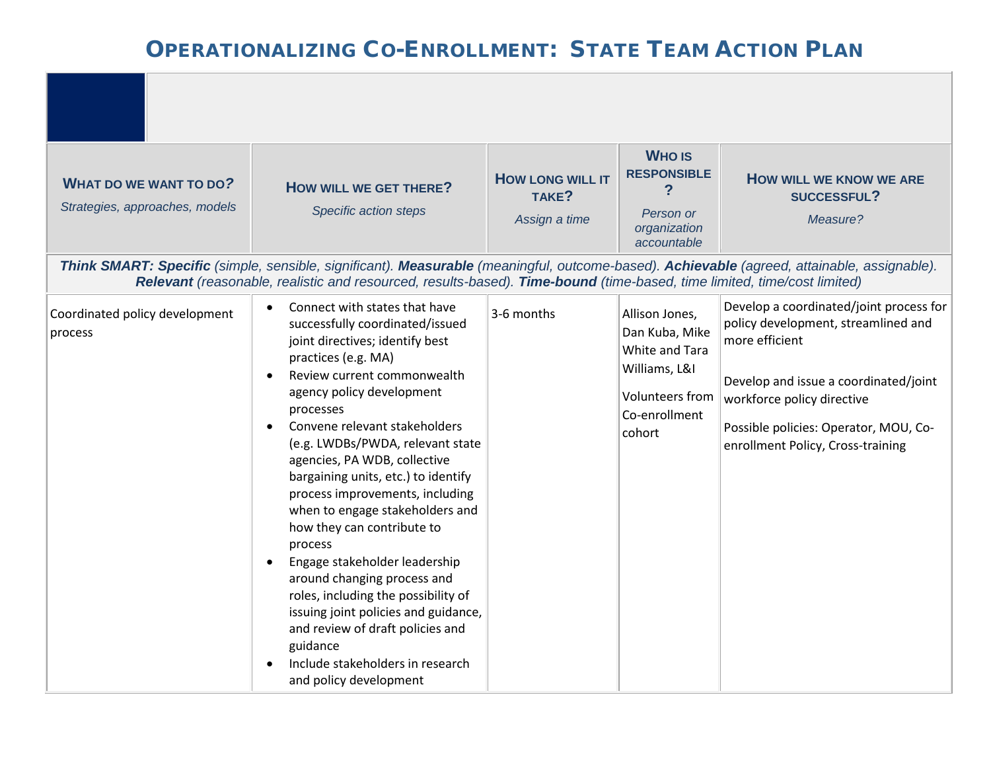|                                                                 |                                                                                                                                                                                                                                                                                                                                                                                                                                                                                                                                                                                                                                                                                                                                                                                 |                                                   | <b>WHO IS</b>                                                                                                     |                                                                                                                                                                                                                                                       |
|-----------------------------------------------------------------|---------------------------------------------------------------------------------------------------------------------------------------------------------------------------------------------------------------------------------------------------------------------------------------------------------------------------------------------------------------------------------------------------------------------------------------------------------------------------------------------------------------------------------------------------------------------------------------------------------------------------------------------------------------------------------------------------------------------------------------------------------------------------------|---------------------------------------------------|-------------------------------------------------------------------------------------------------------------------|-------------------------------------------------------------------------------------------------------------------------------------------------------------------------------------------------------------------------------------------------------|
| <b>WHAT DO WE WANT TO DO?</b><br>Strategies, approaches, models | HOW WILL WE GET THERE?<br>Specific action steps                                                                                                                                                                                                                                                                                                                                                                                                                                                                                                                                                                                                                                                                                                                                 | <b>HOW LONG WILL IT</b><br>TAKE?<br>Assign a time | <b>RESPONSIBLE</b><br>Person or<br>organization<br>accountable                                                    | <b>HOW WILL WE KNOW WE ARE</b><br>SUCCESSFUL?<br>Measure?                                                                                                                                                                                             |
|                                                                 | Think SMART: Specific (simple, sensible, significant). Measurable (meaningful, outcome-based). Achievable (agreed, attainable, assignable).<br>Relevant (reasonable, realistic and resourced, results-based). Time-bound (time-based, time limited, time/cost limited)                                                                                                                                                                                                                                                                                                                                                                                                                                                                                                          |                                                   |                                                                                                                   |                                                                                                                                                                                                                                                       |
| Coordinated policy development<br>process                       | Connect with states that have<br>$\bullet$<br>successfully coordinated/issued<br>joint directives; identify best<br>practices (e.g. MA)<br>Review current commonwealth<br>$\bullet$<br>agency policy development<br>processes<br>Convene relevant stakeholders<br>$\bullet$<br>(e.g. LWDBs/PWDA, relevant state<br>agencies, PA WDB, collective<br>bargaining units, etc.) to identify<br>process improvements, including<br>when to engage stakeholders and<br>how they can contribute to<br>process<br>Engage stakeholder leadership<br>$\bullet$<br>around changing process and<br>roles, including the possibility of<br>issuing joint policies and guidance,<br>and review of draft policies and<br>guidance<br>Include stakeholders in research<br>and policy development | 3-6 months                                        | Allison Jones,<br>Dan Kuba, Mike<br>White and Tara<br>Williams, L&I<br>Volunteers from<br>Co-enrollment<br>cohort | Develop a coordinated/joint process for<br>policy development, streamlined and<br>more efficient<br>Develop and issue a coordinated/joint<br>workforce policy directive<br>Possible policies: Operator, MOU, Co-<br>enrollment Policy, Cross-training |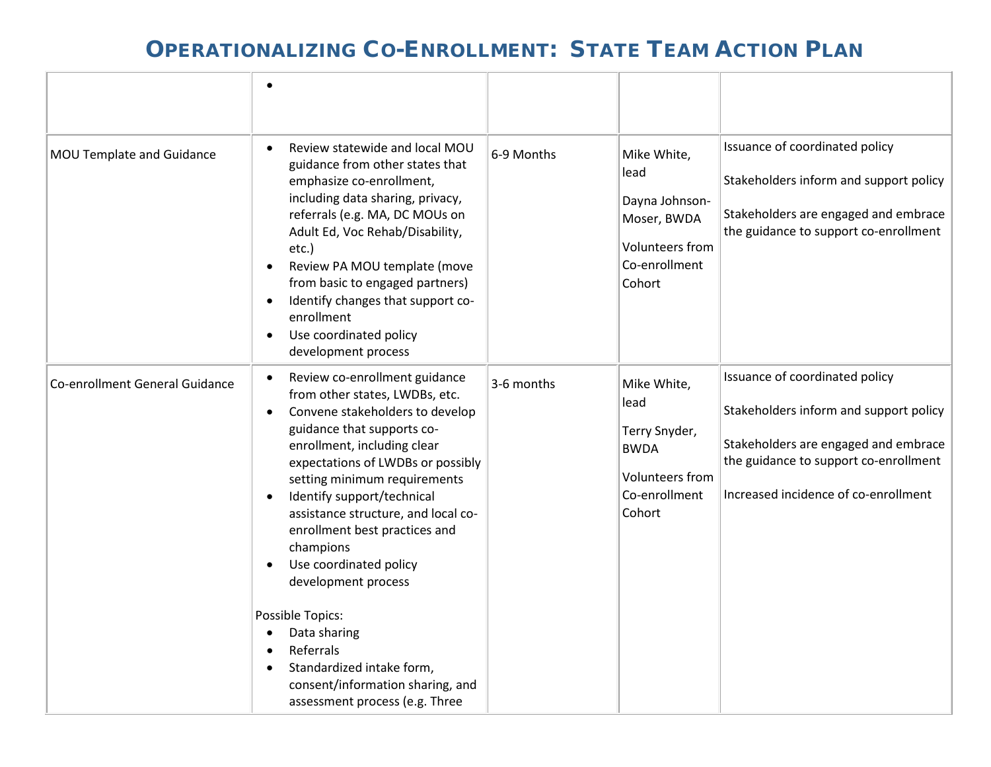|                                | $\bullet$                                                                                                                                                                                                                                                                                                                                                                                                                                                                                                                                                                                                                     |            |                                                                                                           |                                                                                                                                                                                                   |
|--------------------------------|-------------------------------------------------------------------------------------------------------------------------------------------------------------------------------------------------------------------------------------------------------------------------------------------------------------------------------------------------------------------------------------------------------------------------------------------------------------------------------------------------------------------------------------------------------------------------------------------------------------------------------|------------|-----------------------------------------------------------------------------------------------------------|---------------------------------------------------------------------------------------------------------------------------------------------------------------------------------------------------|
| MOU Template and Guidance      | Review statewide and local MOU<br>$\bullet$<br>guidance from other states that<br>emphasize co-enrollment,<br>including data sharing, privacy,<br>referrals (e.g. MA, DC MOUs on<br>Adult Ed, Voc Rehab/Disability,<br>etc.)<br>Review PA MOU template (move<br>$\bullet$<br>from basic to engaged partners)<br>Identify changes that support co-<br>$\bullet$<br>enrollment<br>Use coordinated policy<br>$\bullet$<br>development process                                                                                                                                                                                    | 6-9 Months | Mike White,<br>lead<br>Dayna Johnson-<br>Moser, BWDA<br><b>Volunteers from</b><br>Co-enrollment<br>Cohort | Issuance of coordinated policy<br>Stakeholders inform and support policy<br>Stakeholders are engaged and embrace<br>the guidance to support co-enrollment                                         |
| Co-enrollment General Guidance | Review co-enrollment guidance<br>$\bullet$<br>from other states, LWDBs, etc.<br>Convene stakeholders to develop<br>$\bullet$<br>guidance that supports co-<br>enrollment, including clear<br>expectations of LWDBs or possibly<br>setting minimum requirements<br>Identify support/technical<br>$\bullet$<br>assistance structure, and local co-<br>enrollment best practices and<br>champions<br>Use coordinated policy<br>$\bullet$<br>development process<br>Possible Topics:<br>Data sharing<br>Referrals<br>$\bullet$<br>Standardized intake form,<br>consent/information sharing, and<br>assessment process (e.g. Three | 3-6 months | Mike White,<br>lead<br>Terry Snyder,<br><b>BWDA</b><br>Volunteers from<br>Co-enrollment<br>Cohort         | Issuance of coordinated policy<br>Stakeholders inform and support policy<br>Stakeholders are engaged and embrace<br>the guidance to support co-enrollment<br>Increased incidence of co-enrollment |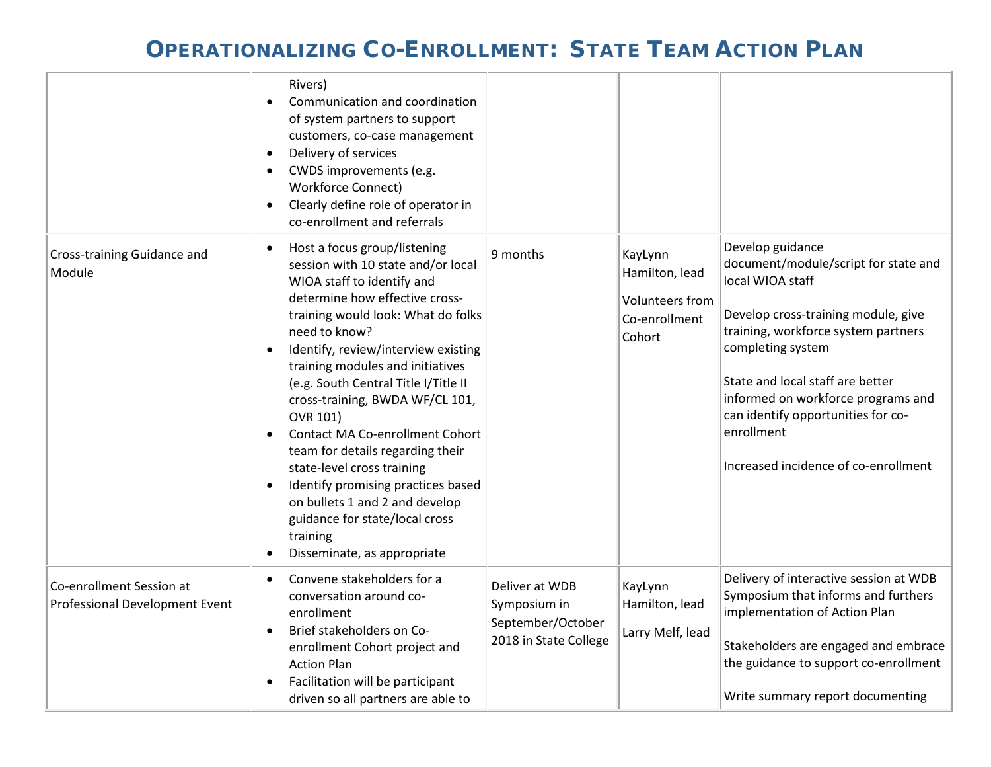|                                                            | Rivers)<br>Communication and coordination<br>$\bullet$<br>of system partners to support<br>customers, co-case management<br>Delivery of services<br>$\bullet$<br>CWDS improvements (e.g.<br>$\bullet$<br><b>Workforce Connect)</b><br>Clearly define role of operator in<br>$\bullet$<br>co-enrollment and referrals                                                                                                                                                                                                                                                                                                                                                                          |                                                                              |                                                                         |                                                                                                                                                                                                                                                                                                                                                       |
|------------------------------------------------------------|-----------------------------------------------------------------------------------------------------------------------------------------------------------------------------------------------------------------------------------------------------------------------------------------------------------------------------------------------------------------------------------------------------------------------------------------------------------------------------------------------------------------------------------------------------------------------------------------------------------------------------------------------------------------------------------------------|------------------------------------------------------------------------------|-------------------------------------------------------------------------|-------------------------------------------------------------------------------------------------------------------------------------------------------------------------------------------------------------------------------------------------------------------------------------------------------------------------------------------------------|
| Cross-training Guidance and<br>Module                      | Host a focus group/listening<br>$\bullet$<br>session with 10 state and/or local<br>WIOA staff to identify and<br>determine how effective cross-<br>training would look: What do folks<br>need to know?<br>Identify, review/interview existing<br>$\bullet$<br>training modules and initiatives<br>(e.g. South Central Title I/Title II<br>cross-training, BWDA WF/CL 101,<br>OVR 101)<br><b>Contact MA Co-enrollment Cohort</b><br>$\bullet$<br>team for details regarding their<br>state-level cross training<br>Identify promising practices based<br>$\bullet$<br>on bullets 1 and 2 and develop<br>guidance for state/local cross<br>training<br>Disseminate, as appropriate<br>$\bullet$ | 9 months                                                                     | KayLynn<br>Hamilton, lead<br>Volunteers from<br>Co-enrollment<br>Cohort | Develop guidance<br>document/module/script for state and<br>local WIOA staff<br>Develop cross-training module, give<br>training, workforce system partners<br>completing system<br>State and local staff are better<br>informed on workforce programs and<br>can identify opportunities for co-<br>enrollment<br>Increased incidence of co-enrollment |
| Co-enrollment Session at<br>Professional Development Event | Convene stakeholders for a<br>$\bullet$<br>conversation around co-<br>enrollment<br>Brief stakeholders on Co-<br>$\bullet$<br>enrollment Cohort project and<br><b>Action Plan</b><br>Facilitation will be participant<br>$\bullet$<br>driven so all partners are able to                                                                                                                                                                                                                                                                                                                                                                                                                      | Deliver at WDB<br>Symposium in<br>September/October<br>2018 in State College | KayLynn<br>Hamilton, lead<br>Larry Melf, lead                           | Delivery of interactive session at WDB<br>Symposium that informs and furthers<br>implementation of Action Plan<br>Stakeholders are engaged and embrace<br>the guidance to support co-enrollment<br>Write summary report documenting                                                                                                                   |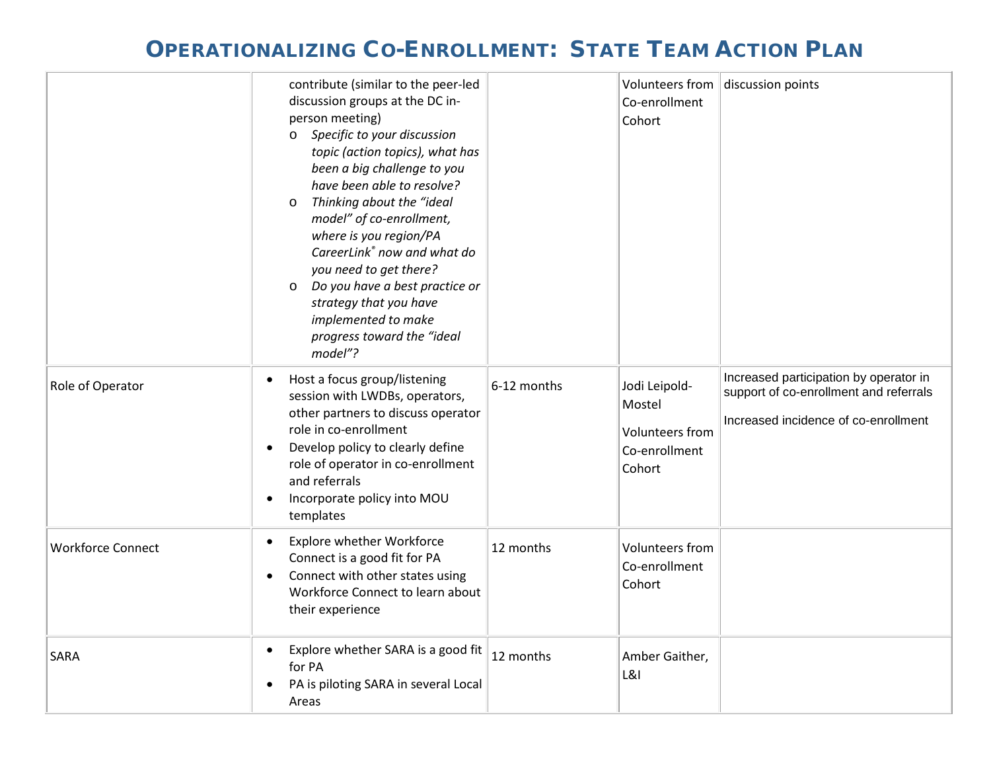|                          | contribute (similar to the peer-led<br>discussion groups at the DC in-<br>person meeting)<br>Specific to your discussion<br>$\circ$<br>topic (action topics), what has<br>been a big challenge to you<br>have been able to resolve?<br>Thinking about the "ideal<br>$\circ$<br>model" of co-enrollment,<br>where is you region/PA<br>CareerLink® now and what do<br>you need to get there?<br>Do you have a best practice or<br>$\circ$<br>strategy that you have<br>implemented to make<br>progress toward the "ideal<br>model"? |             | Volunteers from<br>Co-enrollment<br>Cohort                            | discussion points                                                                                                        |
|--------------------------|-----------------------------------------------------------------------------------------------------------------------------------------------------------------------------------------------------------------------------------------------------------------------------------------------------------------------------------------------------------------------------------------------------------------------------------------------------------------------------------------------------------------------------------|-------------|-----------------------------------------------------------------------|--------------------------------------------------------------------------------------------------------------------------|
| Role of Operator         | Host a focus group/listening<br>$\bullet$<br>session with LWDBs, operators,<br>other partners to discuss operator<br>role in co-enrollment<br>Develop policy to clearly define<br>role of operator in co-enrollment<br>and referrals<br>Incorporate policy into MOU<br>$\bullet$<br>templates                                                                                                                                                                                                                                     | 6-12 months | Jodi Leipold-<br>Mostel<br>Volunteers from<br>Co-enrollment<br>Cohort | Increased participation by operator in<br>support of co-enrollment and referrals<br>Increased incidence of co-enrollment |
| <b>Workforce Connect</b> | <b>Explore whether Workforce</b><br>$\bullet$<br>Connect is a good fit for PA<br>Connect with other states using<br>$\bullet$<br>Workforce Connect to learn about<br>their experience                                                                                                                                                                                                                                                                                                                                             | 12 months   | Volunteers from<br>Co-enrollment<br>Cohort                            |                                                                                                                          |
| <b>SARA</b>              | Explore whether SARA is a good fit<br>$\bullet$<br>for PA<br>PA is piloting SARA in several Local<br>Areas                                                                                                                                                                                                                                                                                                                                                                                                                        | 12 months   | Amber Gaither,<br><b>L&amp;I</b>                                      |                                                                                                                          |